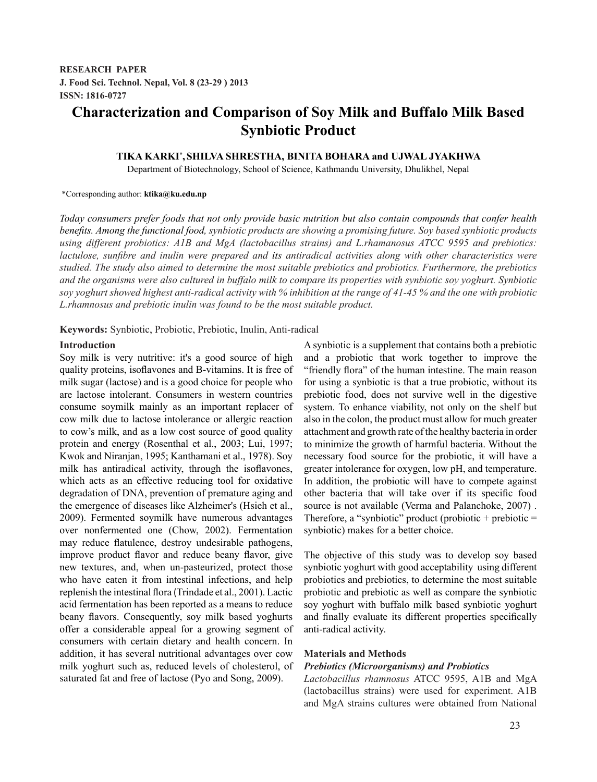# **Characterization and Comparison of Soy Milk and Buffalo Milk Based Synbiotic Product**

**TIKA KARKI\* , SHILVA SHRESTHA, BINITA BOHARA and UJWAL JYAKHWA** 

Department of Biotechnology, School of Science, Kathmandu University, Dhulikhel, Nepal

\*Corresponding author: **ktika@ku.edu.np** 

*Today consumers prefer foods that not only provide basic nutrition but also contain compounds that confer health benefits. Among the functional food, synbiotic products are showing a promising future. Soy based synbiotic products using different probiotics: A1B and MgA (lactobacillus strains) and L.rhamanosus ATCC 9595 and prebiotics: lactulose, sunfibre and inulin were prepared and its antiradical activities along with other characteristics were studied. The study also aimed to determine the most suitable prebiotics and probiotics. Furthermore, the prebiotics and the organisms were also cultured in buffalo milk to compare its properties with synbiotic soy yoghurt. Synbiotic soy yoghurt showed highest anti-radical activity with % inhibition at the range of 41-45 % and the one with probiotic L.rhamnosus and prebiotic inulin was found to be the most suitable product.*

**Keywords:** Synbiotic, Probiotic, Prebiotic, Inulin, Anti-radical

#### **Introduction**

Soy milk is very nutritive: it's a good source of high quality proteins, isoflavones and B-vitamins. It is free of milk sugar (lactose) and is a good choice for people who are lactose intolerant. Consumers in western countries consume soymilk mainly as an important replacer of cow milk due to lactose intolerance or allergic reaction to cow's milk, and as a low cost source of good quality protein and energy (Rosenthal et al., 2003; Lui, 1997; Kwok and Niranjan, 1995; Kanthamani et al., 1978). Soy milk has antiradical activity, through the isoflavones, which acts as an effective reducing tool for oxidative degradation of DNA, prevention of premature aging and the emergence of diseases like Alzheimer's (Hsieh et al., 2009). Fermented soymilk have numerous advantages over nonfermented one (Chow, 2002). Fermentation may reduce flatulence, destroy undesirable pathogens, improve product flavor and reduce beany flavor, give new textures, and, when un-pasteurized, protect those who have eaten it from intestinal infections, and help replenish the intestinal flora (Trindade et al., 2001). Lactic acid fermentation has been reported as a means to reduce beany flavors. Consequently, soy milk based yoghurts offer a considerable appeal for a growing segment of consumers with certain dietary and health concern. In addition, it has several nutritional advantages over cow milk yoghurt such as, reduced levels of cholesterol, of saturated fat and free of lactose (Pyo and Song, 2009).

A synbiotic is a supplement that contains both a prebiotic and a probiotic that work together to improve the "friendly flora" of the human intestine. The main reason for using a synbiotic is that a true probiotic, without its prebiotic food, does not survive well in the digestive system. To enhance viability, not only on the shelf but also in the colon, the product must allow for much greater attachment and growth rate of the healthy bacteria in order to minimize the growth of harmful bacteria. Without the necessary food source for the probiotic, it will have a greater intolerance for oxygen, low pH, and temperature. In addition, the probiotic will have to compete against other bacteria that will take over if its specific food source is not available (Verma and Palanchoke, 2007) . Therefore, a "synbiotic" product (probiotic + prebiotic = synbiotic) makes for a better choice.

The objective of this study was to develop soy based synbiotic yoghurt with good acceptability using different probiotics and prebiotics, to determine the most suitable probiotic and prebiotic as well as compare the synbiotic soy yoghurt with buffalo milk based synbiotic yoghurt and finally evaluate its different properties specifically anti-radical activity.

#### **Materials and Methods**

## *Prebiotics (Microorganisms) and Probiotics*

*Lactobacillus rhamnosus* ATCC 9595, A1B and MgA (lactobacillus strains) were used for experiment. A1B and MgA strains cultures were obtained from National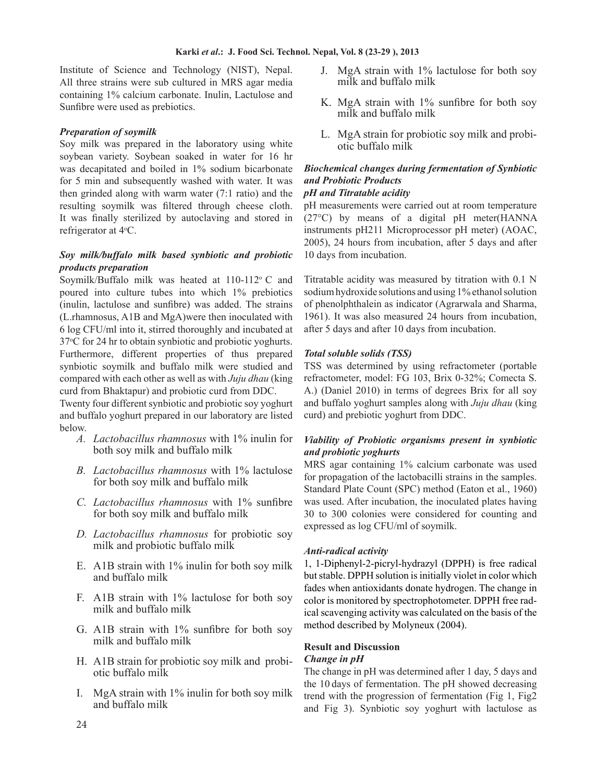Institute of Science and Technology (NIST), Nepal. All three strains were sub cultured in MRS agar media containing 1% calcium carbonate. Inulin, Lactulose and Sunfibre were used as prebiotics.

#### *Preparation of soymilk*

Soy milk was prepared in the laboratory using white soybean variety. Soybean soaked in water for 16 hr was decapitated and boiled in 1% sodium bicarbonate for 5 min and subsequently washed with water. It was then grinded along with warm water (7:1 ratio) and the resulting soymilk was filtered through cheese cloth. It was finally sterilized by autoclaving and stored in refrigerator at 4°C.

#### *Soy milk/buffalo milk based synbiotic and probiotic products preparation*

Soymilk/Buffalo milk was heated at  $110-112$ ° C and poured into culture tubes into which 1% prebiotics (inulin, lactulose and sunfibre) was added. The strains (L.rhamnosus, A1B and MgA)were then inoculated with 6 log CFU/ml into it, stirred thoroughly and incubated at 37<sup>o</sup>C for 24 hr to obtain synbiotic and probiotic yoghurts. Furthermore, different properties of thus prepared synbiotic soymilk and buffalo milk were studied and compared with each other as well as with *Juju dhau* (king curd from Bhaktapur) and probiotic curd from DDC.

Twenty four different synbiotic and probiotic soy yoghurt and buffalo yoghurt prepared in our laboratory are listed below.

- *A. Lactobacillus rhamnosus* with 1% inulin for both soy milk and buffalo milk
- *B. Lactobacillus rhamnosus* with 1% lactulose for both soy milk and buffalo milk
- *C. Lactobacillus rhamnosus* with 1% sunfibre for both soy milk and buffalo milk
- *D. Lactobacillus rhamnosus* for probiotic soy milk and probiotic buffalo milk
- E. A1B strain with 1% inulin for both soy milk and buffalo milk
- F. A1B strain with 1% lactulose for both soy milk and buffalo milk
- G. A1B strain with 1% sunfibre for both soy milk and buffalo milk
- H. A1B strain for probiotic soy milk and probiotic buffalo milk
- I. MgA strain with 1% inulin for both soy milk and buffalo milk
- J. MgA strain with 1% lactulose for both soy milk and buffalo milk
- K. MgA strain with 1% sunfibre for both soy milk and buffalo milk
- L. MgA strain for probiotic soy milk and probiotic buffalo milk

# *Biochemical changes during fermentation of Synbiotic and Probiotic Products*

## *pH and Titratable acidity*

pH measurements were carried out at room temperature (27°C) by means of a digital pH meter(HANNA instruments pH211 Microprocessor pH meter) (AOAC, 2005), 24 hours from incubation, after 5 days and after 10 days from incubation.

Titratable acidity was measured by titration with 0.1 N sodium hydroxide solutions and using 1% ethanol solution of phenolphthalein as indicator (Agrarwala and Sharma, 1961). It was also measured 24 hours from incubation, after 5 days and after 10 days from incubation.

#### *Total soluble solids (TSS)*

TSS was determined by using refractometer (portable refractometer, model: FG 103, Brix 0-32%; Comecta S. A.) (Daniel 2010) in terms of degrees Brix for all soy and buffalo yoghurt samples along with *Juju dhau* (king curd) and prebiotic yoghurt from DDC.

## *Viability of Probiotic organisms present in synbiotic and probiotic yoghurts*

MRS agar containing 1% calcium carbonate was used for propagation of the lactobacilli strains in the samples. Standard Plate Count (SPC) method (Eaton et al., 1960) was used. After incubation, the inoculated plates having 30 to 300 colonies were considered for counting and expressed as log CFU/ml of soymilk.

#### *Anti-radical activity*

1, 1-Diphenyl-2-picryl-hydrazyl (DPPH) is free radical but stable. DPPH solution is initially violet in color which fades when antioxidants donate hydrogen. The change in color is monitored by spectrophotometer. DPPH free radical scavenging activity was calculated on the basis of the method described by Molyneux (2004).

#### **Result and Discussion**  *Change in pH*

The change in pH was determined after 1 day, 5 days and the 10 days of fermentation. The pH showed decreasing trend with the progression of fermentation (Fig 1, Fig2 and Fig 3). Synbiotic soy yoghurt with lactulose as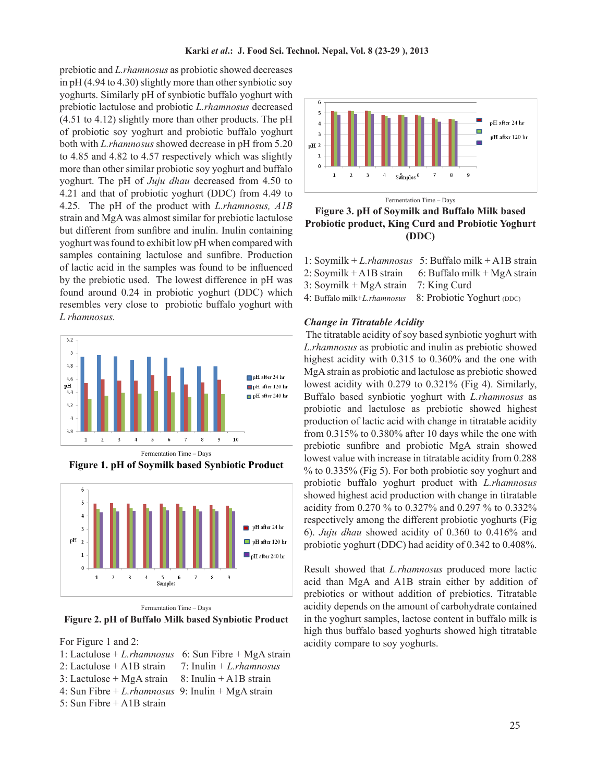prebiotic and *L.rhamnosus* as probiotic showed decreases in pH (4.94 to 4.30) slightly more than other synbiotic soy yoghurts. Similarly pH of synbiotic buffalo yoghurt with prebiotic lactulose and probiotic *L.rhamnosus* decreased (4.51 to 4.12) slightly more than other products. The pH of probiotic soy yoghurt and probiotic buffalo yoghurt both with *L.rhamnosus* showed decrease in pH from 5.20 to 4.85 and 4.82 to 4.57 respectively which was slightly more than other similar probiotic soy yoghurt and buffalo yoghurt. The pH of *Juju dhau* decreased from 4.50 to 4.21 and that of probiotic yoghurt (DDC) from 4.49 to 4.25. The pH of the product with *L.rhamnosus, A1B* strain and MgA was almost similar for prebiotic lactulose but different from sunfibre and inulin. Inulin containing yoghurt was found to exhibit low pH when compared with samples containing lactulose and sunfibre. Production of lactic acid in the samples was found to be influenced by the prebiotic used. The lowest difference in pH was found around 0.24 in probiotic yoghurt (DDC) which resembles very close to probiotic buffalo yoghurt with *L rhamnosus.*



**Figure 1. pH of Soymilk based Synbiotic Product**





**Figure 2. pH of Buffalo Milk based Synbiotic Product**

For Figure 1 and 2:

| 1: Lactulose + L. <i>rhamnosus</i> 6: Sun Fibre + MgA strain |  |
|--------------------------------------------------------------|--|
| 2: Lactulose + A1B strain 7: Inulin + L, rhamnosus           |  |
| 3: Lactulose + MgA strain 8: Inulin + A1B strain             |  |
| 4: Sun Fibre + L. rhamnosus 9: Inulin + MgA strain           |  |
| 5: Sun Fibre $+A1B$ strain                                   |  |





**Figure 3. pH of Soymilk and Buffalo Milk based Probiotic product, King Curd and Probiotic Yoghurt (DDC)**

- 1: Soymilk + *L.rhamnosus* 5: Buffalo milk + A1B strain
- 2: Soymilk + A1B strain 6: Buffalo milk + MgA strain
- 3: Soymilk + MgA strain 7: King Curd
- 4: Buffalo milk+*L.rhamnosus* 8: Probiotic Yoghurt (DDC)

#### *Change in Titratable Acidity*

 The titratable acidity of soy based synbiotic yoghurt with *L.rhamnosus* as probiotic and inulin as prebiotic showed highest acidity with 0.315 to 0.360% and the one with MgA strain as probiotic and lactulose as prebiotic showed lowest acidity with 0.279 to 0.321% (Fig 4). Similarly, Buffalo based synbiotic yoghurt with *L.rhamnosus* as probiotic and lactulose as prebiotic showed highest production of lactic acid with change in titratable acidity from 0.315% to 0.380% after 10 days while the one with prebiotic sunfibre and probiotic MgA strain showed lowest value with increase in titratable acidity from 0.288 % to 0.335% (Fig 5). For both probiotic soy yoghurt and probiotic buffalo yoghurt product with *L.rhamnosus*  showed highest acid production with change in titratable acidity from 0.270 % to 0.327% and 0.297 % to 0.332% respectively among the different probiotic yoghurts (Fig 6). *Juju dhau* showed acidity of 0.360 to 0.416% and probiotic yoghurt (DDC) had acidity of 0.342 to 0.408%.

Result showed that *L.rhamnosus* produced more lactic acid than MgA and A1B strain either by addition of prebiotics or without addition of prebiotics. Titratable acidity depends on the amount of carbohydrate contained in the yoghurt samples, lactose content in buffalo milk is high thus buffalo based yoghurts showed high titratable acidity compare to soy yoghurts.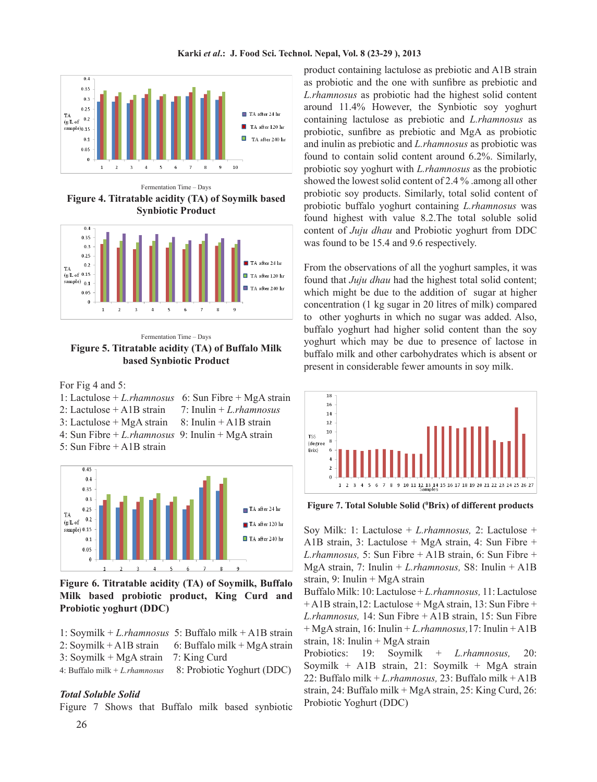

Fermentation Time – Days **Figure 4. Titratable acidity (TA) of Soymilk based Synbiotic Product**





For Fig 4 and 5:

1: Lactulose + *L.rhamnosus* 6: Sun Fibre + MgA strain 2: Lactulose + A1B strain 7: Inulin + *L.rhamnosus*  3: Lactulose + MgA strain 8: Inulin + A1B strain 4: Sun Fibre + *L.rhamnosus* 9: Inulin + MgA strain 5: Sun Fibre + A1B strain



**Figure 6. Titratable acidity (TA) of Soymilk, Buffalo Milk based probiotic product, King Curd and Probiotic yoghurt (DDC)**

| 1: Soymilk + L. rhamnosus 5: Buffalo milk + A1B strain |
|--------------------------------------------------------|
| 6: Buffalo milk + MgA strain                           |
| 7: King Curd                                           |
| 8: Probiotic Yoghurt (DDC)                             |
|                                                        |

## *Total Soluble Solid*

Figure 7 Shows that Buffalo milk based synbiotic

product containing lactulose as prebiotic and A1B strain as probiotic and the one with sunfibre as prebiotic and *L.rhamnosus* as probiotic had the highest solid content around 11.4% However, the Synbiotic soy yoghurt containing lactulose as prebiotic and *L.rhamnosus* as probiotic, sunfibre as prebiotic and MgA as probiotic and inulin as prebiotic and *L.rhamnosus* as probiotic was found to contain solid content around 6.2%. Similarly, probiotic soy yoghurt with *L.rhamnosus* as the probiotic showed the lowest solid content of 2.4 % .among all other probiotic soy products. Similarly, total solid content of probiotic buffalo yoghurt containing *L.rhamnosus* was found highest with value 8.2.The total soluble solid content of *Juju dhau* and Probiotic yoghurt from DDC was found to be 15.4 and 9.6 respectively.

From the observations of all the yoghurt samples, it was found that *Juju dhau* had the highest total solid content; which might be due to the addition of sugar at higher concentration (1 kg sugar in 20 litres of milk) compared to other yoghurts in which no sugar was added. Also, buffalo yoghurt had higher solid content than the soy yoghurt which may be due to presence of lactose in buffalo milk and other carbohydrates which is absent or present in considerable fewer amounts in soy milk.



**Figure 7. Total Soluble Solid (0 Brix) of different products**

Soy Milk: 1: Lactulose + *L.rhamnosus,* 2: Lactulose + A1B strain, 3: Lactulose + MgA strain, 4: Sun Fibre + *L.rhamnosus,* 5: Sun Fibre + A1B strain, 6: Sun Fibre + MgA strain, 7: Inulin + *L.rhamnosus,* S8: Inulin + A1B strain, 9: Inulin  $+$  MgA strain

Buffalo Milk: 10: Lactulose + *L.rhamnosus,* 11: Lactulose + A1B strain,12: Lactulose + MgA strain, 13: Sun Fibre + *L.rhamnosus,* 14: Sun Fibre + A1B strain, 15: Sun Fibre + MgA strain, 16: Inulin + *L.rhamnosus,*17: Inulin + A1B strain,  $18$ : Inulin + MgA strain

Probiotics: 19: Soymilk + *L.rhamnosus,* 20: Soymilk + A1B strain, 21: Soymilk + MgA strain 22: Buffalo milk + *L.rhamnosus,* 23: Buffalo milk + A1B strain, 24: Buffalo milk + MgA strain, 25: King Curd, 26: Probiotic Yoghurt (DDC)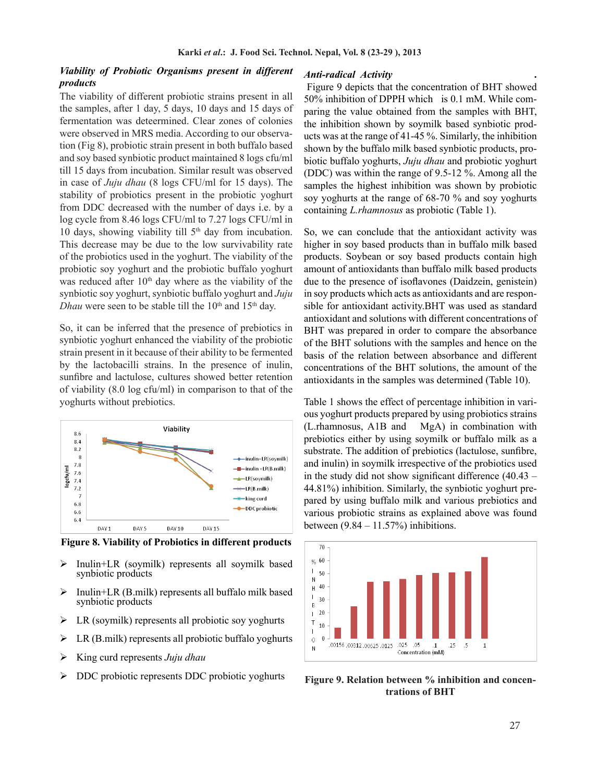#### *Viability of Probiotic Organisms present in different products*

The viability of different probiotic strains present in all the samples, after 1 day, 5 days, 10 days and 15 days of fermentation was deteermined. Clear zones of colonies were observed in MRS media. According to our observation (Fig 8), probiotic strain present in both buffalo based and soy based synbiotic product maintained 8 logs cfu/ml till 15 days from incubation. Similar result was observed in case of *Juju dhau* (8 logs CFU/ml for 15 days). The stability of probiotics present in the probiotic yoghurt from DDC decreased with the number of days i.e. by a log cycle from 8.46 logs CFU/ml to 7.27 logs CFU/ml in 10 days, showing viability till  $5<sup>th</sup>$  day from incubation. This decrease may be due to the low survivability rate of the probiotics used in the yoghurt. The viability of the probiotic soy yoghurt and the probiotic buffalo yoghurt was reduced after  $10<sup>th</sup>$  day where as the viability of the synbiotic soy yoghurt, synbiotic buffalo yoghurt and *Juju Dhau* were seen to be stable till the 10<sup>th</sup> and 15<sup>th</sup> day.

So, it can be inferred that the presence of prebiotics in synbiotic yoghurt enhanced the viability of the probiotic strain present in it because of their ability to be fermented by the lactobacilli strains. In the presence of inulin, sunfibre and lactulose, cultures showed better retention of viability (8.0 log cfu/ml) in comparison to that of the yoghurts without prebiotics.





- $\triangleright$  Inulin+LR (soymilk) represents all soymilk based synbiotic products
- $\triangleright$  Inulin+LR (B.milk) represents all buffalo milk based synbiotic products
- $\triangleright$  LR (soymilk) represents all probiotic soy yoghurts
- $\triangleright$  LR (B.milk) represents all probiotic buffalo yoghurts
- $\triangleright$  King curd represents *Juju dhau*
- $\triangleright$  DDC probiotic represents DDC probiotic yoghurts

#### *Anti-radical Activity* **.**

 Figure 9 depicts that the concentration of BHT showed 50% inhibition of DPPH which is 0.1 mM. While comparing the value obtained from the samples with BHT, the inhibition shown by soymilk based synbiotic products was at the range of 41-45 %. Similarly, the inhibition shown by the buffalo milk based synbiotic products, probiotic buffalo yoghurts, *Juju dhau* and probiotic yoghurt (DDC) was within the range of 9.5-12 %. Among all the samples the highest inhibition was shown by probiotic soy yoghurts at the range of 68-70 % and soy yoghurts containing *L.rhamnosus* as probiotic (Table 1).

So, we can conclude that the antioxidant activity was higher in soy based products than in buffalo milk based products. Soybean or soy based products contain high amount of antioxidants than buffalo milk based products due to the presence of isoflavones (Daidzein, genistein) in soy products which acts as antioxidants and are responsible for antioxidant activity.BHT was used as standard antioxidant and solutions with different concentrations of BHT was prepared in order to compare the absorbance of the BHT solutions with the samples and hence on the basis of the relation between absorbance and different concentrations of the BHT solutions, the amount of the antioxidants in the samples was determined (Table 10).

Table 1 shows the effect of percentage inhibition in various yoghurt products prepared by using probiotics strains (L.rhamnosus, A1B and MgA) in combination with prebiotics either by using soymilk or buffalo milk as a substrate. The addition of prebiotics (lactulose, sunfibre, and inulin) in soymilk irrespective of the probiotics used in the study did not show significant difference (40.43 – 44.81%) inhibition. Similarly, the synbiotic yoghurt prepared by using buffalo milk and various prebiotics and various probiotic strains as explained above was found between  $(9.84 - 11.57%)$  inhibitions.



**Figure 9. Relation between % inhibition and concentrations of BHT**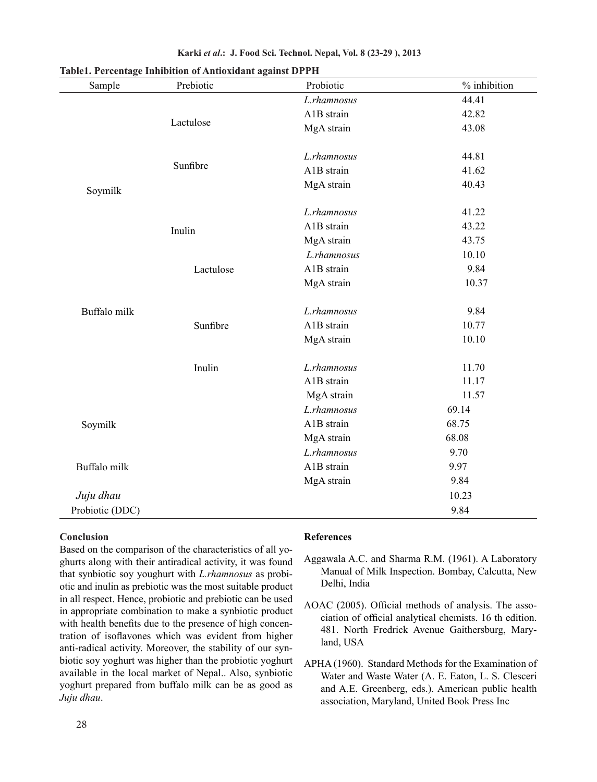| Sample          | Prebiotic           | Probiotic   | % inhibition |
|-----------------|---------------------|-------------|--------------|
|                 |                     | L.rhamnosus | 44.41        |
|                 |                     | A1B strain  | 42.82        |
| Lactulose       | MgA strain          | 43.08       |              |
|                 | Sunfibre<br>Soymilk | L.rhamnosus | 44.81        |
|                 |                     | A1B strain  | 41.62        |
|                 |                     | MgA strain  | 40.43        |
|                 |                     | L.rhamnosus | 41.22        |
|                 | Inulin              | A1B strain  | 43.22        |
|                 |                     | MgA strain  | 43.75        |
|                 |                     | L.rhamnosus | 10.10        |
|                 | Lactulose           | A1B strain  | 9.84         |
|                 |                     | MgA strain  | 10.37        |
| Buffalo milk    | Sunfibre            | L.rhamnosus | 9.84         |
|                 |                     | A1B strain  | 10.77        |
|                 |                     | MgA strain  | 10.10        |
|                 | Inulin              | L.rhamnosus | 11.70        |
|                 |                     | A1B strain  | 11.17        |
|                 |                     | MgA strain  | 11.57        |
|                 |                     | L.rhamnosus | 69.14        |
| Soymilk         |                     | A1B strain  | 68.75        |
|                 |                     | MgA strain  | 68.08        |
|                 |                     | L.rhamnosus | 9.70         |
| Buffalo milk    |                     | A1B strain  | 9.97         |
|                 |                     | MgA strain  | 9.84         |
| Juju dhau       |                     |             | 10.23        |
| Probiotic (DDC) |                     |             | 9.84         |

## **Karki** *et al***.: J. Food Sci. Technol. Nepal, Vol. 8 (23-29 ), 2013**

#### **Table1. Percentage Inhibition of Antioxidant against DPPH**

## **Conclusion**

Based on the comparison of the characteristics of all yoghurts along with their antiradical activity, it was found that synbiotic soy youghurt with *L.rhamnosus* as probiotic and inulin as prebiotic was the most suitable product in all respect. Hence, probiotic and prebiotic can be used in appropriate combination to make a synbiotic product with health benefits due to the presence of high concentration of isoflavones which was evident from higher anti-radical activity. Moreover, the stability of our synbiotic soy yoghurt was higher than the probiotic yoghurt available in the local market of Nepal.. Also, synbiotic yoghurt prepared from buffalo milk can be as good as *Juju dhau*.

#### **References**

- Aggawala A.C. and Sharma R.M. (1961). A Laboratory Manual of Milk Inspection. Bombay, Calcutta, New Delhi, India
- AOAC (2005). Official methods of analysis. The association of official analytical chemists. 16 th edition. 481. North Fredrick Avenue Gaithersburg, Maryland, USA
- APHA (1960). Standard Methods for the Examination of Water and Waste Water (A. E. Eaton, L. S. Clesceri and A.E. Greenberg, eds.). American public health association, Maryland, United Book Press Inc